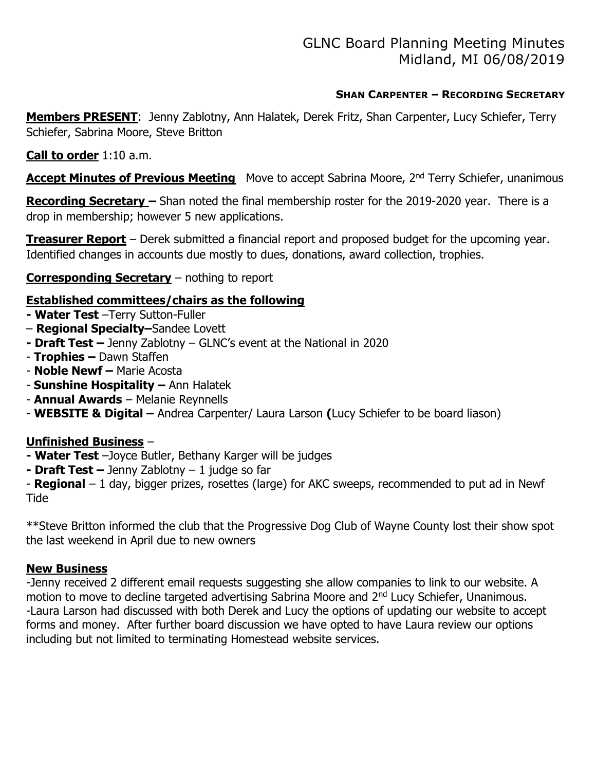## SHAN CARPENTER – RECORDING SECRETARY

Members PRESENT: Jenny Zablotny, Ann Halatek, Derek Fritz, Shan Carpenter, Lucy Schiefer, Terry Schiefer, Sabrina Moore, Steve Britton

## Call to order 1:10 a.m.

Accept Minutes of Previous Meeting Move to accept Sabrina Moore, 2<sup>nd</sup> Terry Schiefer, unanimous

Recording Secretary - Shan noted the final membership roster for the 2019-2020 year. There is a drop in membership; however 5 new applications.

**Treasurer Report** – Derek submitted a financial report and proposed budget for the upcoming year. Identified changes in accounts due mostly to dues, donations, award collection, trophies.

## Corresponding Secretary - nothing to report

## Established committees/chairs as the following

- Water Test -Terry Sutton-Fuller
- Regional Specialty–Sandee Lovett
- Draft Test  $-$  Jenny Zablotny  $-$  GLNC's event at the National in 2020
- Trophies Dawn Staffen
- Noble Newf Marie Acosta
- Sunshine Hospitality Ann Halatek
- Annual Awards Melanie Reynnells
- WEBSITE & Digital Andrea Carpenter/ Laura Larson (Lucy Schiefer to be board liason)

# Unfinished Business –

- Water Test -Joyce Butler, Bethany Karger will be judges
- Draft Test  $-$  Jenny Zablotny  $-1$  judge so far

- Regional  $-1$  day, bigger prizes, rosettes (large) for AKC sweeps, recommended to put ad in Newf **Tide** 

\*\*Steve Britton informed the club that the Progressive Dog Club of Wayne County lost their show spot the last weekend in April due to new owners

## New Business

-Jenny received 2 different email requests suggesting she allow companies to link to our website. A motion to move to decline targeted advertising Sabrina Moore and 2<sup>nd</sup> Lucy Schiefer, Unanimous. -Laura Larson had discussed with both Derek and Lucy the options of updating our website to accept forms and money. After further board discussion we have opted to have Laura review our options including but not limited to terminating Homestead website services.